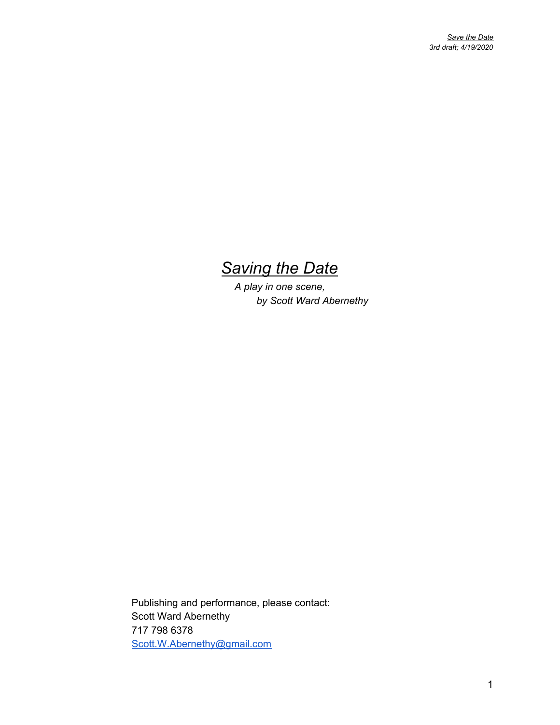## *Saving the Date*

*A play in one scene, by Scott Ward Abernethy*

Publishing and performance, please contact: Scott Ward Abernethy 717 798 6378 [Scott.W.Abernethy@gmail.com](mailto:Scott.W.Abernethy@gmail.com)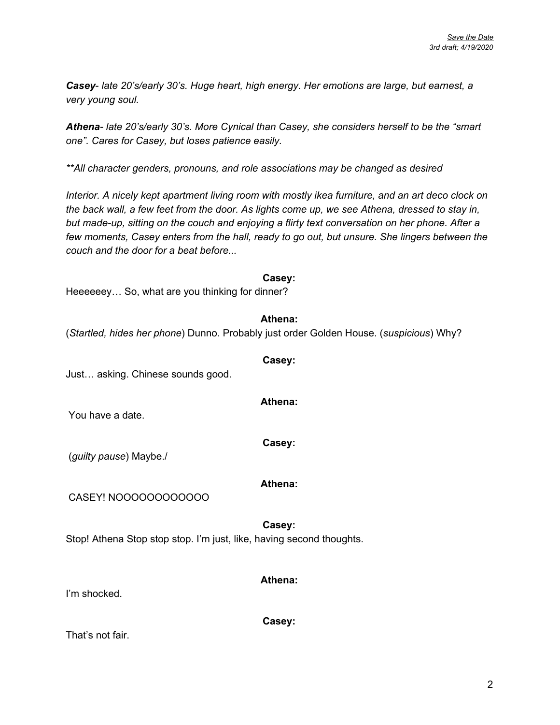*Casey*- *late 20's/early 30's. Huge heart, high energy. Her emotions are large, but earnest, a very young soul.*

*Athena- late 20's/early 30's. More Cynical than Casey, she considers herself to be the "smart one". Cares for Casey, but loses patience easily.*

*\*\*All character genders, pronouns, and role associations may be changed as desired*

*Interior. A nicely kept apartment living room with mostly ikea furniture, and an art deco clock on* the back wall, a few feet from the door. As lights come up, we see Athena, dressed to stay in, *but made-up, sitting on the couch and enjoying a flirty text conversation on her phone. After a few moments, Casey enters from the hall, ready to go out, but unsure. She lingers between the couch and the door for a beat before...*

#### **Casey:**

Heeeeeey… So, what are you thinking for dinner?

#### **Athena:**

**Casey:**

**Athena:**

**Casey:**

(*Startled, hides her phone*) Dunno. Probably just order Golden House. (*suspicious*) Why?

Just… asking. Chinese sounds good.

You have a date.

(*guilty pause*) Maybe./

#### **Athena:**

CASEY! NOOOOOOOOOOOO

**Casey:** Stop! Athena Stop stop stop. I'm just, like, having second thoughts.

#### **Athena:**

I'm shocked.

**Casey:**

That's not fair.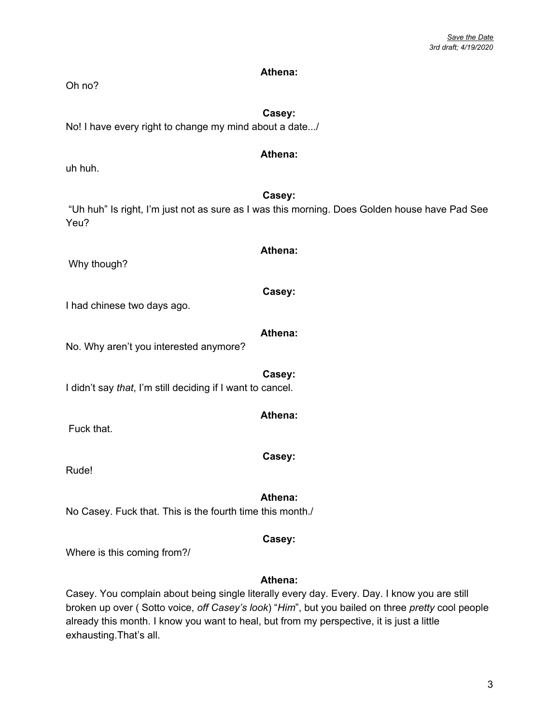#### **Athena:**

Oh no?

### **Casey:**

No! I have every right to change my mind about a date.../

#### **Athena:**

uh huh.

**Casey:** "Uh huh" Is right, I'm just not as sure as I was this morning. Does Golden house have Pad See Yeu?

Why though?

I had chinese two days ago.

No. Why aren't you interested anymore?

**Casey:** I didn't say *that*, I'm still deciding if I want to cancel.

Fuck that.

Rude!

**Athena:** No Casey. Fuck that. This is the fourth time this month./

Where is this coming from?/

#### **Athena:**

**Casey:**

Casey. You complain about being single literally every day. Every. Day. I know you are still broken up over ( Sotto voice, *off Casey's look*) "*Him*", but you bailed on three *pretty* cool people already this month. I know you want to heal, but from my perspective, it is just a little exhausting.That's all.

**Casey:**

**Athena:**

**Athena:**

**Athena:**

**Casey:**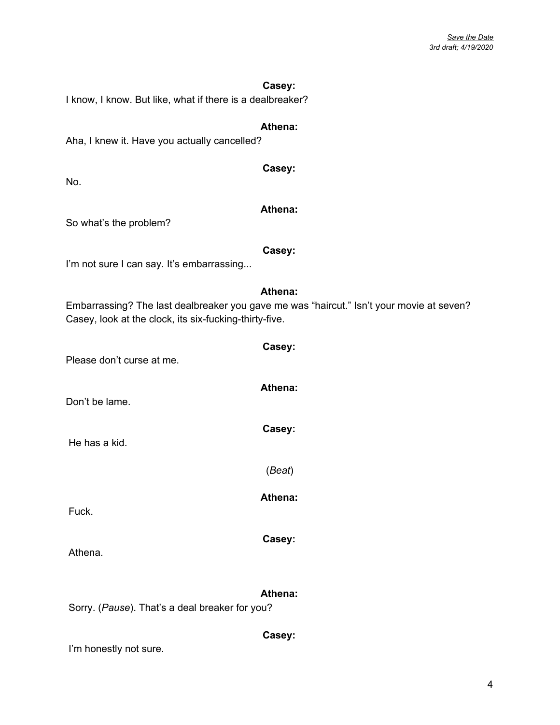#### **Casey:**

I know, I know. But like, what if there is a dealbreaker?

#### **Athena:**

Aha, I knew it. Have you actually cancelled?

No.

#### **Athena:**

**Casey:**

So what's the problem?

#### **Casey:**

I'm not sure I can say. It's embarrassing...

#### **Athena:**

**Casey:**

**Athena:**

**Casey:**

(*Beat*)

**Athena:**

**Casey:**

Embarrassing? The last dealbreaker you gave me was "haircut." Isn't your movie at seven? Casey, look at the clock, its six-fucking-thirty-five.

Please don't curse at me.

Don't be lame.

He has a kid.

Fuck.

Athena.

#### **Athena:**

**Casey:**

Sorry. (*Pause*). That's a deal breaker for you?

#### I'm honestly not sure.

4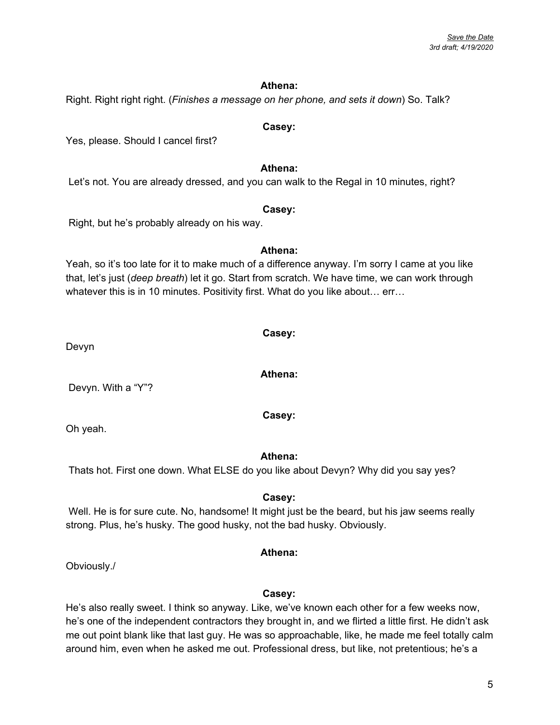#### **Athena:**

Right. Right right right. (*Finishes a message on her phone, and sets it down*) So. Talk?

#### **Casey:**

Yes, please. Should I cancel first?

#### **Athena:**

Let's not. You are already dressed, and you can walk to the Regal in 10 minutes, right?

#### **Casey:**

Right, but he's probably already on his way.

Yeah, so it's too late for it to make much of a difference anyway. I'm sorry I came at you like that, let's just (*deep breath*) let it go. Start from scratch. We have time, we can work through whatever this is in 10 minutes. Positivity first. What do you like about… err…

Devyn

Devyn. With a "Y"?

Oh yeah.

#### **Athena:**

Thats hot. First one down. What ELSE do you like about Devyn? Why did you say yes?

#### **Casey:**

Well. He is for sure cute. No, handsome! It might just be the beard, but his jaw seems really strong. Plus, he's husky. The good husky, not the bad husky. Obviously.

### **Athena:**

Obviously./

#### **Casey:**

He's also really sweet. I think so anyway. Like, we've known each other for a few weeks now, he's one of the independent contractors they brought in, and we flirted a little first. He didn't ask me out point blank like that last guy. He was so approachable, like, he made me feel totally calm around him, even when he asked me out. Professional dress, but like, not pretentious; he's a

### **Athena:**

**Athena:**

**Casey:**

**Casey:**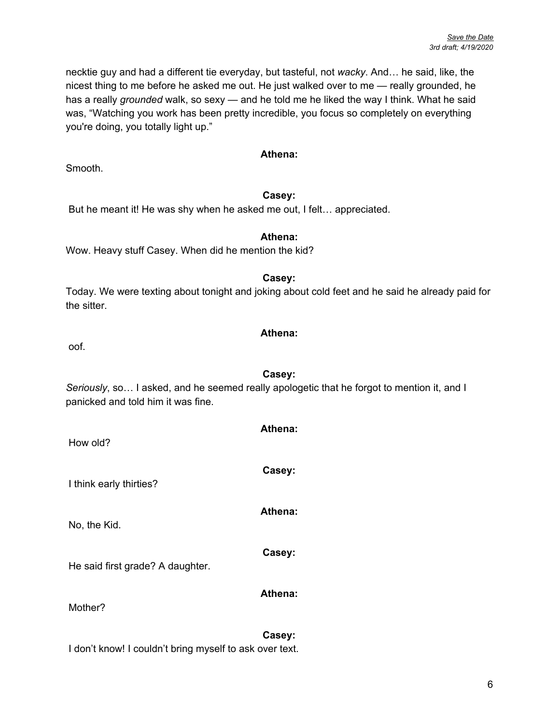necktie guy and had a different tie everyday, but tasteful, not *wacky*. And… he said, like, the nicest thing to me before he asked me out. He just walked over to me — really grounded, he has a really *grounded* walk, so sexy — and he told me he liked the way I think. What he said was, "Watching you work has been pretty incredible, you focus so completely on everything you're doing, you totally light up."

#### **Athena:**

Smooth.

#### **Casey:**

But he meant it! He was shy when he asked me out, I felt… appreciated.

#### **Athena:**

Wow. Heavy stuff Casey. When did he mention the kid?

#### **Casey:**

Today. We were texting about tonight and joking about cold feet and he said he already paid for the sitter.

#### **Athena:**

oof.

**Casey:** *Seriously*, so… I asked, and he seemed really apologetic that he forgot to mention it, and I panicked and told him it was fine.

| How old?                         | Athena:        |
|----------------------------------|----------------|
| I think early thirties?          | Casey:         |
| No, the Kid.                     | Athena:        |
| He said first grade? A daughter. | Casey:         |
| Mother?                          | <b>Athena:</b> |

#### **Casey:**

I don't know! I couldn't bring myself to ask over text.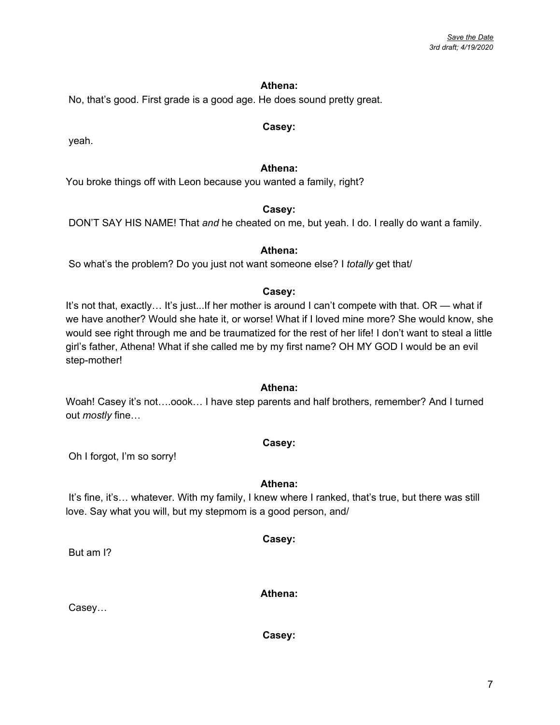7

#### **Athena:**

No, that's good. First grade is a good age. He does sound pretty great.

#### **Casey:**

yeah.

#### **Athena:**

You broke things off with Leon because you wanted a family, right?

#### **Casey:**

DON'T SAY HIS NAME! That *and* he cheated on me, but yeah. I do. I really do want a family.

#### **Athena:**

So what's the problem? Do you just not want someone else? I *totally* get that/

#### **Casey:**

It's not that, exactly... It's just...If her mother is around I can't compete with that. OR — what if we have another? Would she hate it, or worse! What if I loved mine more? She would know, she would see right through me and be traumatized for the rest of her life! I don't want to steal a little girl's father, Athena! What if she called me by my first name? OH MY GOD I would be an evil step-mother!

#### **Athena:**

Woah! Casey it's not….oook… I have step parents and half brothers, remember? And I turned out *mostly* fine…

#### **Casey:**

Oh I forgot, I'm so sorry!

#### **Athena:**

It's fine, it's... whatever. With my family, I knew where I ranked, that's true, but there was still love. Say what you will, but my stepmom is a good person, and/

**Casey:**

But am I?

**Athena:**

**Casey:**

Casey…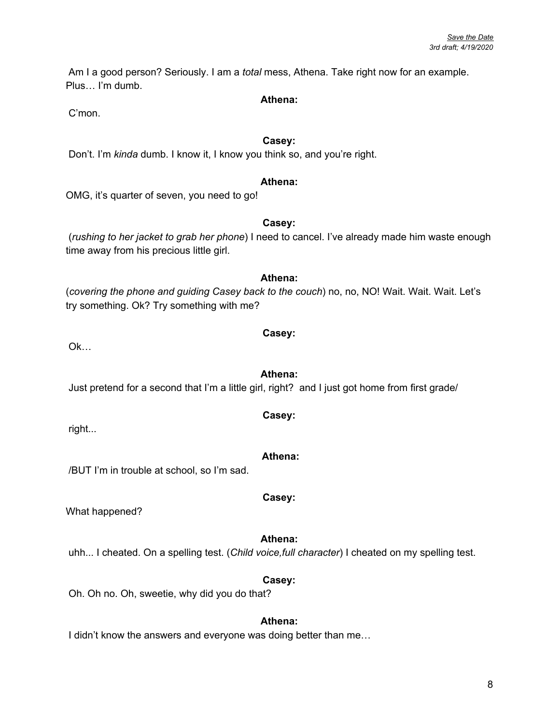8

Am I a good person? Seriously. I am a *total* mess, Athena. Take right now for an example. Plus… I'm dumb.

#### **Athena:**

C'mon.

#### **Casey:**

Don't. I'm *kinda* dumb. I know it, I know you think so, and you're right.

#### **Athena:**

OMG, it's quarter of seven, you need to go!

#### **Casey:**

(*rushing to her jacket to grab her phone*) I need to cancel. I've already made him waste enough time away from his precious little girl.

**Athena:** (*covering the phone and guiding Casey back to the couch*) no, no, NO! Wait. Wait. Wait. Let's try something. Ok? Try something with me?

Ok…

Just pretend for a second that I'm a little girl, right? and I just got home from first grade/

right...

/BUT I'm in trouble at school, so I'm sad.

What happened?

**Athena:** uhh... I cheated. On a spelling test. (*Child voice,full character*) I cheated on my spelling test.

Oh. Oh no. Oh, sweetie, why did you do that?

#### **Athena:**

**Casey:**

I didn't know the answers and everyone was doing better than me...

#### **Athena:**

**Casey:**

### **Casey:**

# **Athena:**

# **Casey:**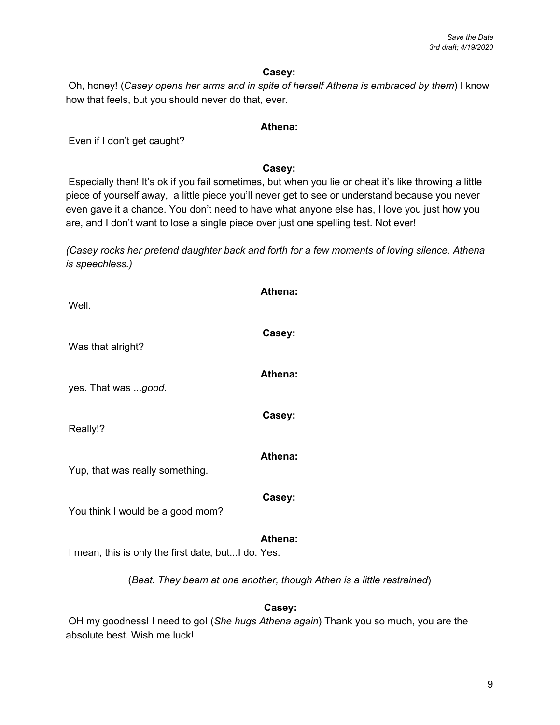#### **Casey:**

Oh, honey! (*Casey opens her arms and in spite of herself Athena is embraced by them*) I know how that feels, but you should never do that, ever.

#### **Athena:**

Even if I don't get caught?

#### **Casey:**

Especially then! It's ok if you fail sometimes, but when you lie or cheat it's like throwing a little piece of yourself away, a little piece you'll never get to see or understand because you never even gave it a chance. You don't need to have what anyone else has, I love you just how you are, and I don't want to lose a single piece over just one spelling test. Not ever!

*(Casey rocks her pretend daughter back and forth for a few moments of loving silence. Athena is speechless.)*

| Well.                                                                 | Athena: |  |
|-----------------------------------------------------------------------|---------|--|
| Was that alright?                                                     | Casey:  |  |
| yes. That was good.                                                   | Athena: |  |
| Really!?                                                              | Casey:  |  |
| Yup, that was really something.                                       | Athena: |  |
| You think I would be a good mom?                                      | Casey:  |  |
| I mean, this is only the first date, but I do. Yes.                   | Athena: |  |
| (Beat. They beam at one another, though Athen is a little restrained) |         |  |
|                                                                       |         |  |

#### **Casey:**

OH my goodness! I need to go! (*She hugs Athena again*) Thank you so much, you are the absolute best. Wish me luck!